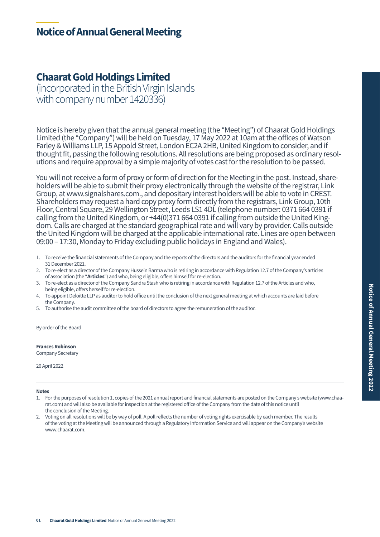# **Notice of Annual General Meeting**

### **Chaarat Gold Holdings Limited**

(incorporated in the British Virgin Islands with company number 1420336)

Notice is hereby given that the annual general meeting (the "Meeting") of Chaarat Gold Holdings Limited (the "Company") will be held on Tuesday, 17 May 2022 at 10am at the offices of Watson Farley & Williams LLP, 15 Appold Street, London EC2A 2HB, United Kingdom to consider, and if thought fit, passing the following resolutions. All resolutions are being proposed as ordinary resolutions and require approval by a simple majority of votes cast for the resolution to be passed.

You will not receive a form of proxy or form of direction for the Meeting in the post. Instead, shareholders will be able to submit their proxy electronically through the website of the registrar, Link Group, at www.signalshares.com., and depositary interest holders will be able to vote in CREST. Shareholders may request a hard copy proxy form directly from the registrars, Link Group, 10th Floor, Central Square, 29 Wellington Street, Leeds LS1 4DL (telephone number: 0371 664 0391 if calling from the United Kingdom, or +44(0)371 664 0391 if calling from outside the United Kingdom. Calls are charged at the standard geographical rate and will vary by provider. Calls outside the United Kingdom will be charged at the applicable international rate. Lines are open between 09:00 – 17:30, Monday to Friday excluding public holidays in England and Wales).

- 1. To receive the financial statements of the Company and the reports of the directors and the auditors for the financial year ended 31 December 2021.
- 2. To re-elect as a director of the Company Hussein Barma who is retiring in accordance with Regulation 12.7 of the Company's articles of association (the "**Articles**") and who, being eligible, offers himself for re-election.
- 3. To re-elect as a director of the Company Sandra Stash who is retiring in accordance with Regulation 12.7 of the Articles and who, being eligible, offers herself for re-election.
- 4. To appoint Deloitte LLP as auditor to hold office until the conclusion of the next general meeting at which accounts are laid before the Company.
- 5. To authorise the audit committee of the board of directors to agree the remuneration of the auditor.

By order of the Board

**Frances Robinson**

Company Secretary

20 April 2022

#### **Notes**

- 1. For the purposes of resolution 1, copies of the 2021 annual report and financial statements are posted on the Company's website (www.chaarat.com) and will also be available for inspection at the registered office of the Company from the date of this notice until the conclusion of the Meeting.
- 2. Voting on all resolutions will be by way of poll. A poll reflects the number of voting rights exercisable by each member. The results of the voting at the Meeting will be announced through a Regulatory Information Service and will appear on the Company's website www.chaarat.com.